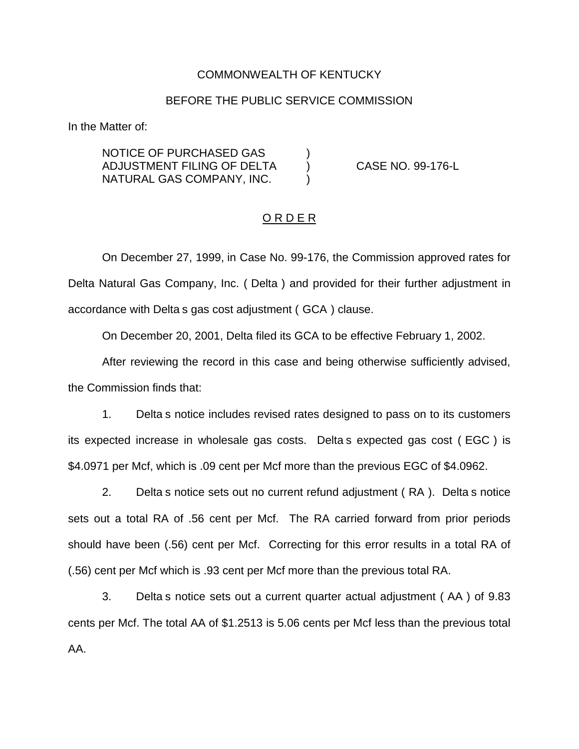## COMMONWEALTH OF KENTUCKY

## BEFORE THE PUBLIC SERVICE COMMISSION

In the Matter of:

NOTICE OF PURCHASED GAS ) ADJUSTMENT FILING OF DELTA ) CASE NO. 99-176-L NATURAL GAS COMPANY, INC.

## O R D E R

On December 27, 1999, in Case No. 99-176, the Commission approved rates for Delta Natural Gas Company, Inc. ( Delta ) and provided for their further adjustment in accordance with Delta s gas cost adjustment ( GCA ) clause.

On December 20, 2001, Delta filed its GCA to be effective February 1, 2002.

After reviewing the record in this case and being otherwise sufficiently advised, the Commission finds that:

1. Delta s notice includes revised rates designed to pass on to its customers its expected increase in wholesale gas costs. Delta s expected gas cost ( EGC ) is \$4.0971 per Mcf, which is .09 cent per Mcf more than the previous EGC of \$4.0962.

2. Delta s notice sets out no current refund adjustment ( RA ). Delta s notice sets out a total RA of .56 cent per Mcf. The RA carried forward from prior periods should have been (.56) cent per Mcf. Correcting for this error results in a total RA of (.56) cent per Mcf which is .93 cent per Mcf more than the previous total RA.

3. Delta s notice sets out a current quarter actual adjustment ( AA ) of 9.83 cents per Mcf. The total AA of \$1.2513 is 5.06 cents per Mcf less than the previous total AA.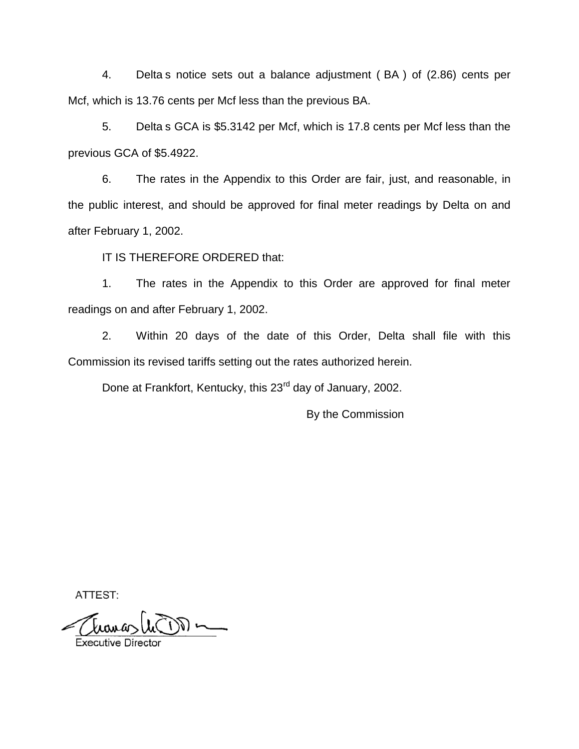4. Delta s notice sets out a balance adjustment ( BA ) of (2.86) cents per Mcf, which is 13.76 cents per Mcf less than the previous BA.

5. Delta s GCA is \$5.3142 per Mcf, which is 17.8 cents per Mcf less than the previous GCA of \$5.4922.

6. The rates in the Appendix to this Order are fair, just, and reasonable, in the public interest, and should be approved for final meter readings by Delta on and after February 1, 2002.

IT IS THEREFORE ORDERED that:

1. The rates in the Appendix to this Order are approved for final meter readings on and after February 1, 2002.

2. Within 20 days of the date of this Order, Delta shall file with this Commission its revised tariffs setting out the rates authorized herein.

Done at Frankfort, Kentucky, this 23<sup>rd</sup> day of January, 2002.

By the Commission

ATTEST: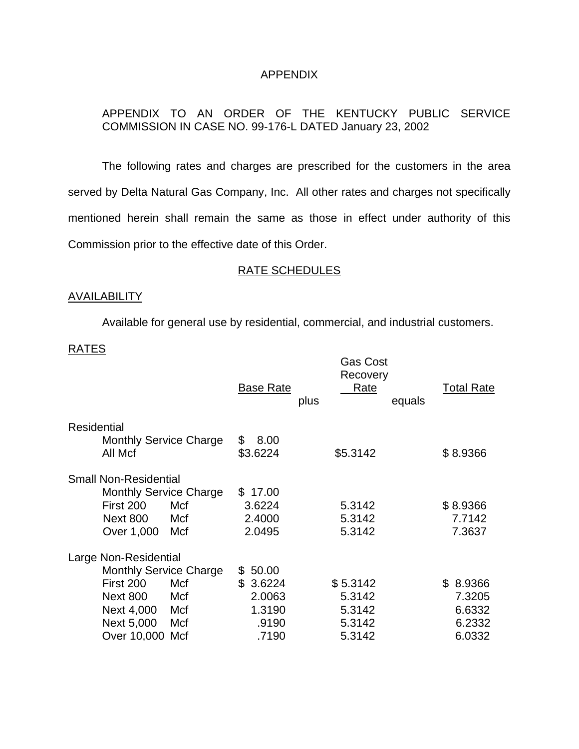# APPENDIX

# APPENDIX TO AN ORDER OF THE KENTUCKY PUBLIC SERVICE COMMISSION IN CASE NO. 99-176-L DATED January 23, 2002

The following rates and charges are prescribed for the customers in the area served by Delta Natural Gas Company, Inc. All other rates and charges not specifically mentioned herein shall remain the same as those in effect under authority of this Commission prior to the effective date of this Order.

## RATE SCHEDULES

## AVAILABILITY

Available for general use by residential, commercial, and industrial customers.

### RATES

|                               |     | <b>Base Rate</b> | <b>Gas Cost</b><br>Recovery<br>Rate<br>plus | equals | <b>Total Rate</b> |
|-------------------------------|-----|------------------|---------------------------------------------|--------|-------------------|
| Residential                   |     |                  |                                             |        |                   |
| <b>Monthly Service Charge</b> |     | 8.00<br>\$       |                                             |        |                   |
| All Mcf                       |     | \$3.6224         | \$5.3142                                    |        | \$8.9366          |
| <b>Small Non-Residential</b>  |     |                  |                                             |        |                   |
| <b>Monthly Service Charge</b> |     | \$17.00          |                                             |        |                   |
| First 200                     | Mcf | 3.6224           | 5.3142                                      |        | \$8.9366          |
| <b>Next 800</b>               | Mcf | 2.4000           | 5.3142                                      |        | 7.7142            |
| Over 1,000                    | Mcf | 2.0495           | 5.3142                                      |        | 7.3637            |
| Large Non-Residential         |     |                  |                                             |        |                   |
| <b>Monthly Service Charge</b> |     | 50.00<br>S.      |                                             |        |                   |
| First 200                     | Mcf | \$<br>3.6224     | \$5.3142                                    | \$.    | 8.9366            |
| <b>Next 800</b>               | Mcf | 2.0063           | 5.3142                                      |        | 7.3205            |
| Next 4,000                    | Mcf | 1.3190           | 5.3142                                      |        | 6.6332            |
| Next 5,000                    | Mcf | .9190            | 5.3142                                      |        | 6.2332            |
| Over 10,000 Mcf               |     | .7190            | 5.3142                                      |        | 6.0332            |